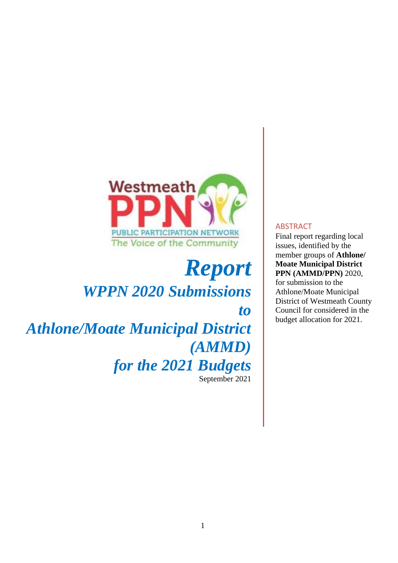

# *Report WPPN 2020 Submissions to*

*Athlone/Moate Municipal District (AMMD) for the 2021 Budgets* September 2021

#### ABSTRACT

Final report regarding local issues, identified by the member groups of **Athlone/ Moate Municipal District PPN (AMMD/PPN)** 2020, for submission to the Athlone/Moate Municipal District of Westmeath County Council for considered in the budget allocation for 2021.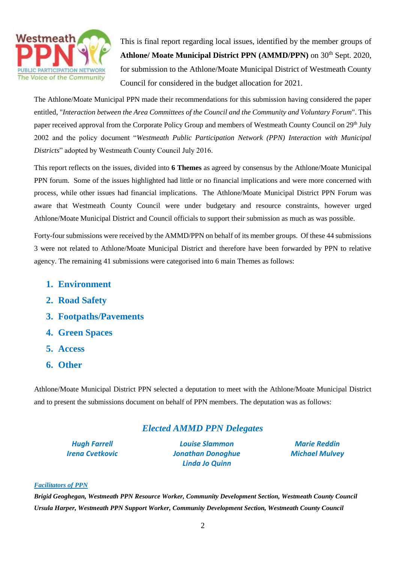

This is final report regarding local issues, identified by the member groups of Athlone/ Moate Municipal District PPN (AMMD/PPN) on 30<sup>th</sup> Sept. 2020, for submission to the Athlone/Moate Municipal District of Westmeath County Council for considered in the budget allocation for 2021.

The Athlone/Moate Municipal PPN made their recommendations for this submission having considered the paper entitled, "*Interaction between the Area Committees of the Council and the Community and Voluntary Forum*". This paper received approval from the Corporate Policy Group and members of Westmeath County Council on 29<sup>th</sup> July 2002 and the policy document "*Westmeath Public Participation Network (PPN) Interaction with Municipal Districts*" adopted by Westmeath County Council July 2016.

This report reflects on the issues, divided into **6 Themes** as agreed by consensus by the Athlone/Moate Municipal PPN forum. Some of the issues highlighted had little or no financial implications and were more concerned with process, while other issues had financial implications. The Athlone/Moate Municipal District PPN Forum was aware that Westmeath County Council were under budgetary and resource constraints, however urged Athlone/Moate Municipal District and Council officials to support their submission as much as was possible.

Forty-four submissions were received by the AMMD/PPN on behalf of its member groups. Of these 44 submissions 3 were not related to Athlone/Moate Municipal District and therefore have been forwarded by PPN to relative agency. The remaining 41 submissions were categorised into 6 main Themes as follows:

- **1. Environment**
- **2. Road Safety**
- **3. Footpaths/Pavements**
- **4. Green Spaces**
- **5. Access**
- **6. Other**

Athlone/Moate Municipal District PPN selected a deputation to meet with the Athlone/Moate Municipal District and to present the submissions document on behalf of PPN members. The deputation was as follows:

# *Elected AMMD PPN Delegates*

*Hugh Farrell Louise Slammon Marie Reddin Irena Cvetkovic Jonathan Donoghue Michael Mulvey Linda Jo Quinn*

#### *Facilitators of PPN*

*Brigid Geoghegan, Westmeath PPN Resource Worker, Community Development Section, Westmeath County Council Ursula Harper, Westmeath PPN Support Worker, Community Development Section, Westmeath County Council*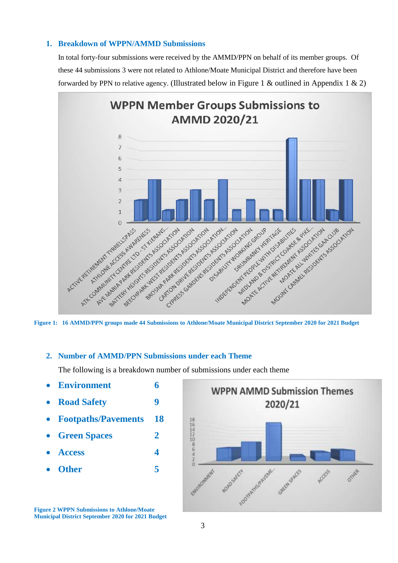# **1. Breakdown of WPPN/AMMD Submissions**

In total forty-four submissions were received by the AMMD/PPN on behalf of its member groups. Of these 44 submissions 3 were not related to Athlone/Moate Municipal District and therefore have been forwarded by PPN to relative agency. (Illustrated below in Figure 1 & outlined in Appendix 1 & 2)



**Figure 1: 16 AMMD/PPN groups made 44 Submissions to Athlone/Moate Municipal District September 2020 for 2021 Budget**

### **2. Number of AMMD/PPN Submissions under each Theme**

The following is a breakdown number of submissions under each theme

- **Environment 6**
- **Road Safety 9**
- **Footpaths/Pavements 18**
- **Green Spaces 2**
- **Access 4**
- **Other 5**

**Figure 2 WPPN Submissions to Athlone/Moate Municipal District September 2020 for 2021 Budget**

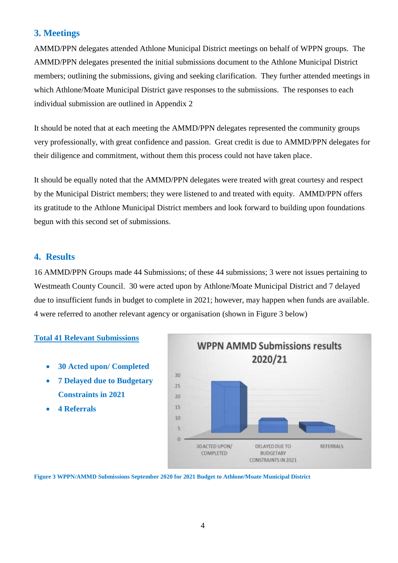# **3. Meetings**

AMMD/PPN delegates attended Athlone Municipal District meetings on behalf of WPPN groups. The AMMD/PPN delegates presented the initial submissions document to the Athlone Municipal District members; outlining the submissions, giving and seeking clarification. They further attended meetings in which Athlone/Moate Municipal District gave responses to the submissions. The responses to each individual submission are outlined in Appendix 2

It should be noted that at each meeting the AMMD/PPN delegates represented the community groups very professionally, with great confidence and passion. Great credit is due to AMMD/PPN delegates for their diligence and commitment, without them this process could not have taken place.

It should be equally noted that the AMMD/PPN delegates were treated with great courtesy and respect by the Municipal District members; they were listened to and treated with equity. AMMD/PPN offers its gratitude to the Athlone Municipal District members and look forward to building upon foundations begun with this second set of submissions.

# **4. Results**

16 AMMD/PPN Groups made 44 Submissions; of these 44 submissions; 3 were not issues pertaining to Westmeath County Council. 30 were acted upon by Athlone/Moate Municipal District and 7 delayed due to insufficient funds in budget to complete in 2021; however, may happen when funds are available. 4 were referred to another relevant agency or organisation (shown in Figure 3 below)

## **Total 41 Relevant Submissions**

- **30 Acted upon/ Completed**
- **7 Delayed due to Budgetary Constraints in 2021**
- **4 Referrals**



**Figure 3 WPPN/AMMD Submissions September 2020 for 2021 Budget to Athlone/Moate Municipal District**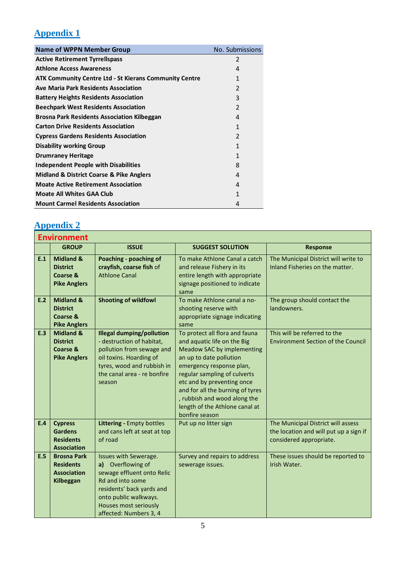# **Appendix 1**

| <b>Name of WPPN Member Group</b>                              | No. Submissions |
|---------------------------------------------------------------|-----------------|
| <b>Active Retirement Tyrrellspass</b>                         | 2               |
| <b>Athlone Access Awareness</b>                               | 4               |
| <b>ATK Community Centre Ltd - St Kierans Community Centre</b> | 1               |
| <b>Ave Maria Park Residents Association</b>                   | 2               |
| <b>Battery Heights Residents Association</b>                  | 3               |
| <b>Beechpark West Residents Association</b>                   | $\mathfrak{p}$  |
| <b>Brosna Park Residents Association Kilbeggan</b>            | 4               |
| <b>Carton Drive Residents Association</b>                     | 1               |
| <b>Cypress Gardens Residents Association</b>                  | $\mathfrak{p}$  |
| <b>Disability working Group</b>                               | 1               |
| <b>Drumraney Heritage</b>                                     | 1               |
| <b>Independent People with Disabilities</b>                   | 8               |
| <b>Midland &amp; District Coarse &amp; Pike Anglers</b>       | 4               |
| <b>Moate Active Retirement Association</b>                    | 4               |
| <b>Moate All Whites GAA Club</b>                              | 1               |
| <b>Mount Carmel Residents Association</b>                     | 4               |

# **Appendix 2**

|     | <b>Environment</b>                                                         |                                                                                                                                                                                                       |                                                                                                                                                                                                                                                                                                                                          |                                                                                                         |  |  |
|-----|----------------------------------------------------------------------------|-------------------------------------------------------------------------------------------------------------------------------------------------------------------------------------------------------|------------------------------------------------------------------------------------------------------------------------------------------------------------------------------------------------------------------------------------------------------------------------------------------------------------------------------------------|---------------------------------------------------------------------------------------------------------|--|--|
|     | <b>GROUP</b>                                                               | <b>ISSUE</b>                                                                                                                                                                                          | <b>SUGGEST SOLUTION</b>                                                                                                                                                                                                                                                                                                                  | <b>Response</b>                                                                                         |  |  |
| E.1 | <b>Midland &amp;</b><br><b>District</b><br>Coarse &<br><b>Pike Anglers</b> | Poaching - poaching of<br>crayfish, coarse fish of<br><b>Athlone Canal</b>                                                                                                                            | To make Athlone Canal a catch<br>and release Fishery in its<br>entire length with appropriate<br>signage positioned to indicate<br>same                                                                                                                                                                                                  | The Municipal District will write to<br>Inland Fisheries on the matter.                                 |  |  |
| E.2 | <b>Midland &amp;</b><br><b>District</b><br>Coarse &<br><b>Pike Anglers</b> | <b>Shooting of wildfowl</b>                                                                                                                                                                           | To make Athlone canal a no-<br>shooting reserve with<br>appropriate signage indicating<br>same                                                                                                                                                                                                                                           | The group should contact the<br>landowners.                                                             |  |  |
| E.3 | <b>Midland &amp;</b><br><b>District</b><br>Coarse &<br><b>Pike Anglers</b> | <b>Illegal dumping/pollution</b><br>- destruction of habitat,<br>pollution from sewage and<br>oil toxins. Hoarding of<br>tyres, wood and rubbish in<br>the canal area - re bonfire<br>season          | To protect all flora and fauna<br>and aquatic life on the Big<br>Meadow SAC by implementing<br>an up to date pollution<br>emergency response plan,<br>regular sampling of culverts<br>etc and by preventing once<br>and for all the burning of tyres<br>, rubbish and wood along the<br>length of the Athlone canal at<br>bonfire season | This will be referred to the<br><b>Environment Section of the Council</b>                               |  |  |
| E.4 | <b>Cypress</b><br><b>Gardens</b><br><b>Residents</b><br><b>Association</b> | Littering - Empty bottles<br>and cans left at seat at top<br>of road                                                                                                                                  | Put up no litter sign                                                                                                                                                                                                                                                                                                                    | The Municipal District will assess<br>the location and will put up a sign if<br>considered appropriate. |  |  |
| E.5 | <b>Brosna Park</b><br><b>Residents</b><br><b>Association</b><br>Kilbeggan  | Issues with Sewerage.<br>a) Overflowing of<br>sewage effluent onto Relic<br>Rd and into some<br>residents' back yards and<br>onto public walkways.<br>Houses most seriously<br>affected: Numbers 3, 4 | Survey and repairs to address<br>sewerage issues.                                                                                                                                                                                                                                                                                        | These issues should be reported to<br>Irish Water.                                                      |  |  |

<u> 1980 - Johann Barbara, martxa alemaniar amerikan basar da a</u>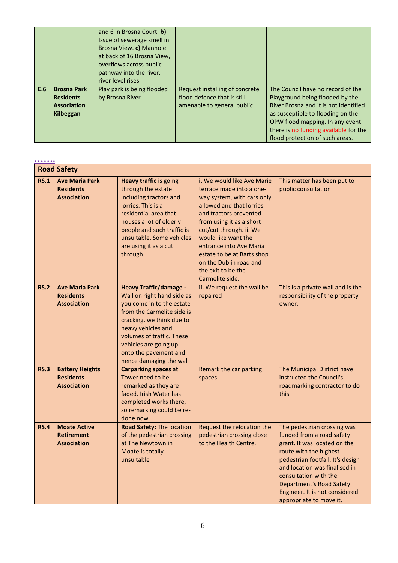|     |                                                                           | and 6 in Brosna Court. b)<br>Issue of sewerage smell in<br>Brosna View. c) Manhole<br>at back of 16 Brosna View,<br>overflows across public<br>pathway into the river,<br>river level rises |                                                                                             |                                                                                                                                                                                                                                                                   |
|-----|---------------------------------------------------------------------------|---------------------------------------------------------------------------------------------------------------------------------------------------------------------------------------------|---------------------------------------------------------------------------------------------|-------------------------------------------------------------------------------------------------------------------------------------------------------------------------------------------------------------------------------------------------------------------|
| E.6 | <b>Brosna Park</b><br><b>Residents</b><br><b>Association</b><br>Kilbeggan | Play park is being flooded<br>by Brosna River.                                                                                                                                              | Request installing of concrete<br>flood defence that is still<br>amenable to general public | The Council have no record of the<br>Playground being flooded by the<br>River Brosna and it is not identified<br>as susceptible to flooding on the<br>OPW flood mapping. In any event<br>there is no funding available for the<br>flood protection of such areas. |

|             | <b>Road Safety</b>                                               |                                                                                                                                                                                                                                                                                     |                                                                                                                                                                                                                                                                                                                                                      |                                                                                                                                                                                                                                                                                                                  |
|-------------|------------------------------------------------------------------|-------------------------------------------------------------------------------------------------------------------------------------------------------------------------------------------------------------------------------------------------------------------------------------|------------------------------------------------------------------------------------------------------------------------------------------------------------------------------------------------------------------------------------------------------------------------------------------------------------------------------------------------------|------------------------------------------------------------------------------------------------------------------------------------------------------------------------------------------------------------------------------------------------------------------------------------------------------------------|
| <b>RS.1</b> | <b>Ave Maria Park</b><br><b>Residents</b><br><b>Association</b>  | <b>Heavy traffic is going</b><br>through the estate<br>including tractors and<br>lorries. This is a<br>residential area that<br>houses a lot of elderly<br>people and such traffic is<br>unsuitable. Some vehicles<br>are using it as a cut<br>through.                             | i. We would like Ave Marie<br>terrace made into a one-<br>way system, with cars only<br>allowed and that lorries<br>and tractors prevented<br>from using it as a short<br>cut/cut through. ii. We<br>would like want the<br>entrance into Ave Maria<br>estate to be at Barts shop<br>on the Dublin road and<br>the exit to be the<br>Carmelite side. | This matter has been put to<br>public consultation                                                                                                                                                                                                                                                               |
| <b>RS.2</b> | <b>Ave Maria Park</b><br><b>Residents</b><br><b>Association</b>  | <b>Heavy Traffic/damage -</b><br>Wall on right hand side as<br>you come in to the estate<br>from the Carmelite side is<br>cracking, we think due to<br>heavy vehicles and<br>volumes of traffic. These<br>vehicles are going up<br>onto the pavement and<br>hence damaging the wall | ii. We request the wall be<br>repaired                                                                                                                                                                                                                                                                                                               | This is a private wall and is the<br>responsibility of the property<br>owner.                                                                                                                                                                                                                                    |
| <b>RS.3</b> | <b>Battery Heights</b><br><b>Residents</b><br><b>Association</b> | <b>Carparking spaces at</b><br>Tower need to be<br>remarked as they are<br>faded. Irish Water has<br>completed works there,<br>so remarking could be re-<br>done now.                                                                                                               | Remark the car parking<br>spaces                                                                                                                                                                                                                                                                                                                     | The Municipal District have<br>instructed the Council's<br>roadmarking contractor to do<br>this.                                                                                                                                                                                                                 |
| <b>RS.4</b> | <b>Moate Active</b><br><b>Retirement</b><br><b>Association</b>   | Road Safety: The location<br>of the pedestrian crossing<br>at The Newtown in<br>Moate is totally<br>unsuitable                                                                                                                                                                      | Request the relocation the<br>pedestrian crossing close<br>to the Health Centre.                                                                                                                                                                                                                                                                     | The pedestrian crossing was<br>funded from a road safety<br>grant. It was located on the<br>route with the highest<br>pedestrian footfall. It's design<br>and location was finalised in<br>consultation with the<br><b>Department's Road Safety</b><br>Engineer. It is not considered<br>appropriate to move it. |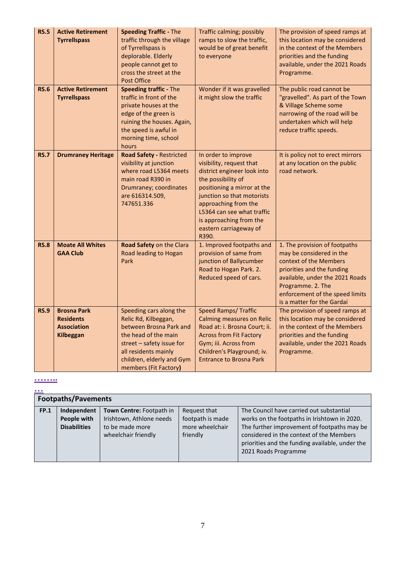| <b>RS.5</b><br><b>RS.6</b> | <b>Active Retirement</b><br><b>Tyrrellspass</b><br><b>Active Retirement</b>      | <b>Speeding Traffic - The</b><br>traffic through the village<br>of Tyrrellspass is<br>deplorable. Elderly<br>people cannot get to<br>cross the street at the<br><b>Post Office</b><br><b>Speeding traffic - The</b> | Traffic calming; possibly<br>ramps to slow the traffic,<br>would be of great benefit<br>to everyone<br>Wonder if it was gravelled                                                                                                                                                     | The provision of speed ramps at<br>this location may be considered<br>in the context of the Members<br>priorities and the funding<br>available, under the 2021 Roads<br>Programme.<br>The public road cannot be                            |
|----------------------------|----------------------------------------------------------------------------------|---------------------------------------------------------------------------------------------------------------------------------------------------------------------------------------------------------------------|---------------------------------------------------------------------------------------------------------------------------------------------------------------------------------------------------------------------------------------------------------------------------------------|--------------------------------------------------------------------------------------------------------------------------------------------------------------------------------------------------------------------------------------------|
|                            | <b>Tyrrellspass</b>                                                              | traffic in front of the<br>private houses at the<br>edge of the green is<br>ruining the houses. Again,<br>the speed is awful in<br>morning time, school<br>hours                                                    | it might slow the traffic                                                                                                                                                                                                                                                             | "gravelled". As part of the Town<br>& Village Scheme some<br>narrowing of the road will be<br>undertaken which will help<br>reduce traffic speeds.                                                                                         |
| <b>RS.7</b>                | <b>Drumraney Heritage</b>                                                        | <b>Road Safety - Restricted</b><br>visibility at junction<br>where road L5364 meets<br>main road R390 in<br>Drumraney; coordinates<br>are 616314.509,<br>747651.336                                                 | In order to improve<br>visibility, request that<br>district engineer look into<br>the possibility of<br>positioning a mirror at the<br>junction so that motorists<br>approaching from the<br>L5364 can see what traffic<br>is approaching from the<br>eastern carriageway of<br>R390. | It is policy not to erect mirrors<br>at any location on the public<br>road network.                                                                                                                                                        |
| <b>RS.8</b>                | <b>Moate All Whites</b><br><b>GAA Club</b>                                       | Road Safety on the Clara<br>Road leading to Hogan<br>Park                                                                                                                                                           | 1. Improved footpaths and<br>provision of same from<br>junction of Ballycumber<br>Road to Hogan Park. 2.<br>Reduced speed of cars.                                                                                                                                                    | 1. The provision of footpaths<br>may be considered in the<br>context of the Members<br>priorities and the funding<br>available, under the 2021 Roads<br>Programme. 2. The<br>enforcement of the speed limits<br>is a matter for the Gardaí |
| <b>RS.9</b>                | <b>Brosna Park</b><br><b>Residents</b><br><b>Association</b><br><b>Kilbeggan</b> | Speeding cars along the<br>Relic Rd, Kilbeggan,<br>between Brosna Park and<br>the head of the main<br>street - safety issue for<br>all residents mainly<br>children, elderly and Gym<br>members (Fit Factory)       | <b>Speed Ramps/ Traffic</b><br><b>Calming measures on Relic</b><br>Road at: i. Brosna Court; ii.<br><b>Across from Fit Factory</b><br>Gym; iii. Across from<br>Children's Playground; iv.<br><b>Entrance to Brosna Park</b>                                                           | The provision of speed ramps at<br>this location may be considered<br>in the context of the Members<br>priorities and the funding<br>available, under the 2021 Roads<br>Programme.                                                         |

**……..**

| $\bullet\bullet\bullet$ |                                                   |                                                                                                |                                                                 |                                                                                                                                                                                                                                                                |
|-------------------------|---------------------------------------------------|------------------------------------------------------------------------------------------------|-----------------------------------------------------------------|----------------------------------------------------------------------------------------------------------------------------------------------------------------------------------------------------------------------------------------------------------------|
|                         | <b>Footpaths/Pavements</b>                        |                                                                                                |                                                                 |                                                                                                                                                                                                                                                                |
| <b>FP.1</b>             | Independent<br>People with<br><b>Disabilities</b> | Town Centre: Footpath in<br>Irishtown, Athlone needs<br>to be made more<br>wheelchair friendly | Request that<br>footpath is made<br>more wheelchair<br>friendly | The Council have carried out substantial<br>works on the footpaths in Irishtown in 2020.<br>The further improvement of footpaths may be<br>considered in the context of the Members<br>priorities and the funding available, under the<br>2021 Roads Programme |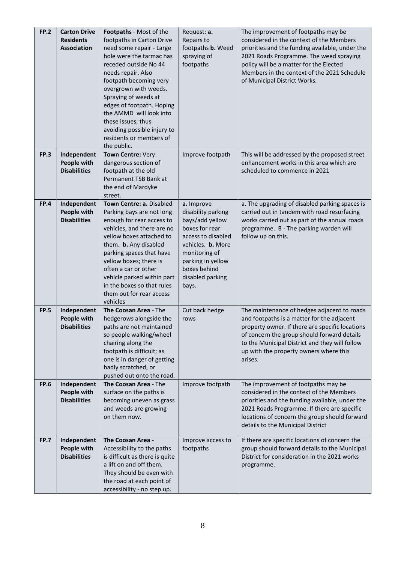| <b>FP.2</b> | <b>Carton Drive</b><br><b>Residents</b><br><b>Association</b> | Footpaths - Most of the<br>footpaths in Carton Drive<br>need some repair - Large<br>hole were the tarmac has<br>receded outside No 44<br>needs repair. Also<br>footpath becoming very<br>overgrown with weeds.<br>Spraying of weeds at<br>edges of footpath. Hoping<br>the AMMD will look into<br>these issues, thus<br>avoiding possible injury to<br>residents or members of<br>the public. | Request: a.<br>Repairs to<br>footpaths b. Weed<br>spraying of<br>footpaths                                                                                                                          | The improvement of footpaths may be<br>considered in the context of the Members<br>priorities and the funding available, under the<br>2021 Roads Programme. The weed spraying<br>policy will be a matter for the Elected<br>Members in the context of the 2021 Schedule<br>of Municipal District Works. |
|-------------|---------------------------------------------------------------|-----------------------------------------------------------------------------------------------------------------------------------------------------------------------------------------------------------------------------------------------------------------------------------------------------------------------------------------------------------------------------------------------|-----------------------------------------------------------------------------------------------------------------------------------------------------------------------------------------------------|---------------------------------------------------------------------------------------------------------------------------------------------------------------------------------------------------------------------------------------------------------------------------------------------------------|
| <b>FP.3</b> | Independent<br>People with<br><b>Disabilities</b>             | Town Centre: Very<br>dangerous section of<br>footpath at the old<br>Permanent TSB Bank at<br>the end of Mardyke<br>street.                                                                                                                                                                                                                                                                    | Improve footpath                                                                                                                                                                                    | This will be addressed by the proposed street<br>enhancement works in this area which are<br>scheduled to commence in 2021                                                                                                                                                                              |
| <b>FP.4</b> | Independent<br>People with<br><b>Disabilities</b>             | Town Centre: a. Disabled<br>Parking bays are not long<br>enough for rear access to<br>vehicles, and there are no<br>yellow boxes attached to<br>them. b. Any disabled<br>parking spaces that have<br>yellow boxes; there is<br>often a car or other<br>vehicle parked within part<br>in the boxes so that rules<br>them out for rear access<br>vehicles                                       | a. Improve<br>disability parking<br>bays/add yellow<br>boxes for rear<br>access to disabled<br>vehicles. b. More<br>monitoring of<br>parking in yellow<br>boxes behind<br>disabled parking<br>bays. | a. The upgrading of disabled parking spaces is<br>carried out in tandem with road resurfacing<br>works carried out as part of the annual roads<br>programme. B - The parking warden will<br>follow up on this.                                                                                          |
| <b>FP.5</b> | Independent<br>People with<br><b>Disabilities</b>             | The Coosan Area - The<br>hedgerows alongside the<br>paths are not maintained<br>so people walking/wheel<br>chairing along the<br>footpath is difficult; as<br>one is in danger of getting<br>badly scratched, or<br>pushed out onto the road.                                                                                                                                                 | Cut back hedge<br>rows                                                                                                                                                                              | The maintenance of hedges adjacent to roads<br>and footpaths is a matter for the adjacent<br>property owner. If there are specific locations<br>of concern the group should forward details<br>to the Municipal District and they will follow<br>up with the property owners where this<br>arises.      |
| <b>FP.6</b> | Independent<br>People with<br><b>Disabilities</b>             | The Coosan Area - The<br>surface on the paths is<br>becoming uneven as grass<br>and weeds are growing<br>on them now.                                                                                                                                                                                                                                                                         | Improve footpath                                                                                                                                                                                    | The improvement of footpaths may be<br>considered in the context of the Members<br>priorities and the funding available, under the<br>2021 Roads Programme. If there are specific<br>locations of concern the group should forward<br>details to the Municipal District                                 |
| <b>FP.7</b> | Independent<br>People with<br><b>Disabilities</b>             | The Coosan Area -<br>Accessibility to the paths<br>is difficult as there is quite<br>a lift on and off them.<br>They should be even with<br>the road at each point of<br>accessibility - no step up.                                                                                                                                                                                          | Improve access to<br>footpaths                                                                                                                                                                      | If there are specific locations of concern the<br>group should forward details to the Municipal<br>District for consideration in the 2021 works<br>programme.                                                                                                                                           |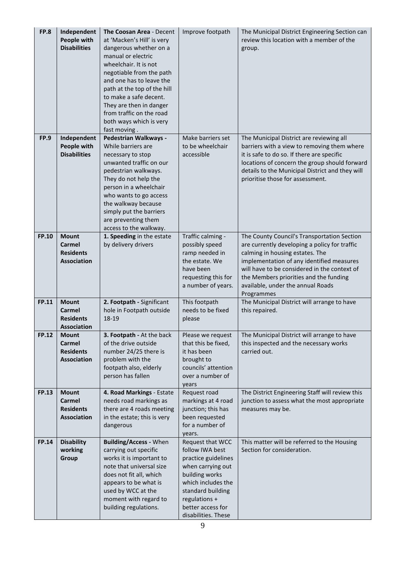| FP.8         | Independent<br>People with<br><b>Disabilities</b>                | The Coosan Area - Decent<br>at 'Macken's Hill' is very<br>dangerous whether on a<br>manual or electric<br>wheelchair. It is not<br>negotiable from the path<br>and one has to leave the<br>path at the top of the hill<br>to make a safe decent.<br>They are then in danger<br>from traffic on the road<br>both ways which is very<br>fast moving. | Improve footpath                                                                                                                                                                                          | The Municipal District Engineering Section can<br>review this location with a member of the<br>group.                                                                                                                                                                                                                     |
|--------------|------------------------------------------------------------------|----------------------------------------------------------------------------------------------------------------------------------------------------------------------------------------------------------------------------------------------------------------------------------------------------------------------------------------------------|-----------------------------------------------------------------------------------------------------------------------------------------------------------------------------------------------------------|---------------------------------------------------------------------------------------------------------------------------------------------------------------------------------------------------------------------------------------------------------------------------------------------------------------------------|
| <b>FP.9</b>  | Independent<br>People with<br><b>Disabilities</b>                | Pedestrian Walkways -<br>While barriers are<br>necessary to stop<br>unwanted traffic on our<br>pedestrian walkways.<br>They do not help the<br>person in a wheelchair<br>who wants to go access<br>the walkway because<br>simply put the barriers<br>are preventing them<br>access to the walkway.                                                 | Make barriers set<br>to be wheelchair<br>accessible                                                                                                                                                       | The Municipal District are reviewing all<br>barriers with a view to removing them where<br>it is safe to do so. If there are specific<br>locations of concern the group should forward<br>details to the Municipal District and they will<br>prioritise those for assessment.                                             |
| <b>FP.10</b> | <b>Mount</b><br>Carmel<br><b>Residents</b><br><b>Association</b> | 1. Speeding in the estate<br>by delivery drivers                                                                                                                                                                                                                                                                                                   | Traffic calming -<br>possibly speed<br>ramp needed in<br>the estate. We<br>have been<br>requesting this for<br>a number of years.                                                                         | The County Council's Transportation Section<br>are currently developing a policy for traffic<br>calming in housing estates. The<br>implementation of any identified measures<br>will have to be considered in the context of<br>the Members priorities and the funding<br>available, under the annual Roads<br>Programmes |
| <b>FP.11</b> | <b>Mount</b><br>Carmel<br><b>Residents</b><br><b>Association</b> | 2. Footpath - Significant<br>hole in Footpath outside<br>18-19                                                                                                                                                                                                                                                                                     | This footpath<br>needs to be fixed<br>please                                                                                                                                                              | The Municipal District will arrange to have<br>this repaired.                                                                                                                                                                                                                                                             |
| <b>FP.12</b> | <b>Mount</b><br>Carmel<br><b>Residents</b><br><b>Association</b> | 3. Footpath - At the back<br>of the drive outside<br>number 24/25 there is<br>problem with the<br>footpath also, elderly<br>person has fallen                                                                                                                                                                                                      | Please we request<br>that this be fixed,<br>it has been<br>brought to<br>councils' attention<br>over a number of<br>years                                                                                 | The Municipal District will arrange to have<br>this inspected and the necessary works<br>carried out.                                                                                                                                                                                                                     |
| <b>FP.13</b> | <b>Mount</b><br>Carmel<br><b>Residents</b><br><b>Association</b> | 4. Road Markings - Estate<br>needs road markings as<br>there are 4 roads meeting<br>in the estate; this is very<br>dangerous                                                                                                                                                                                                                       | Request road<br>markings at 4 road<br>junction; this has<br>been requested<br>for a number of<br>years.                                                                                                   | The District Engineering Staff will review this<br>junction to assess what the most appropriate<br>measures may be.                                                                                                                                                                                                       |
| <b>FP.14</b> | <b>Disability</b><br>working<br>Group                            | <b>Building/Access - When</b><br>carrying out specific<br>works it is important to<br>note that universal size<br>does not fit all, which<br>appears to be what is<br>used by WCC at the<br>moment with regard to<br>building regulations.                                                                                                         | Request that WCC<br>follow IWA best<br>practice guidelines<br>when carrying out<br>building works<br>which includes the<br>standard building<br>regulations +<br>better access for<br>disabilities. These | This matter will be referred to the Housing<br>Section for consideration.                                                                                                                                                                                                                                                 |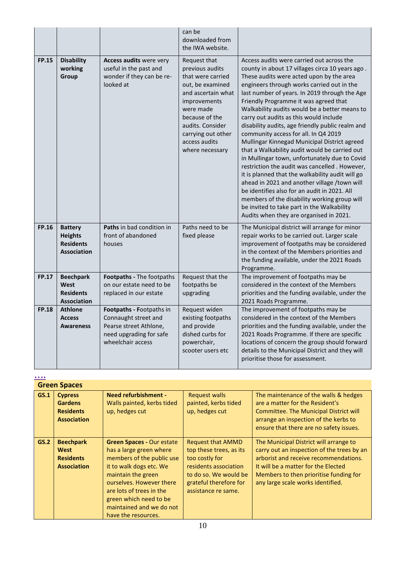|              |                                                                            |                                                                                                                            | can be<br>downloaded from<br>the IWA website.                                                                                                                                                                               |                                                                                                                                                                                                                                                                                                                                                                                                                                                                                                                                                                                                                                                                                                                                                                                                                                                                                                                                                                          |
|--------------|----------------------------------------------------------------------------|----------------------------------------------------------------------------------------------------------------------------|-----------------------------------------------------------------------------------------------------------------------------------------------------------------------------------------------------------------------------|--------------------------------------------------------------------------------------------------------------------------------------------------------------------------------------------------------------------------------------------------------------------------------------------------------------------------------------------------------------------------------------------------------------------------------------------------------------------------------------------------------------------------------------------------------------------------------------------------------------------------------------------------------------------------------------------------------------------------------------------------------------------------------------------------------------------------------------------------------------------------------------------------------------------------------------------------------------------------|
| <b>FP.15</b> | <b>Disability</b><br>working<br>Group                                      | Access audits were very<br>useful in the past and<br>wonder if they can be re-<br>looked at                                | Request that<br>previous audits<br>that were carried<br>out, be examined<br>and ascertain what<br>improvements<br>were made<br>because of the<br>audits. Consider<br>carrying out other<br>access audits<br>where necessary | Access audits were carried out across the<br>county in about 17 villages circa 10 years ago.<br>These audits were acted upon by the area<br>engineers through works carried out in the<br>last number of years. In 2019 through the Age<br>Friendly Programme it was agreed that<br>Walkability audits would be a better means to<br>carry out audits as this would include<br>disability audits, age friendly public realm and<br>community access for all. In Q4 2019<br>Mullingar Kinnegad Municipal District agreed<br>that a Walkability audit would be carried out<br>in Mullingar town, unfortunately due to Covid<br>restriction the audit was cancelled . However,<br>it is planned that the walkability audit will go<br>ahead in 2021 and another village /town will<br>be identifies also for an audit in 2021. All<br>members of the disability working group will<br>be invited to take part in the Walkability<br>Audits when they are organised in 2021. |
| <b>FP.16</b> | <b>Battery</b><br><b>Heights</b><br><b>Residents</b><br><b>Association</b> | Paths in bad condition in<br>front of abandoned<br>houses                                                                  | Paths need to be<br>fixed please                                                                                                                                                                                            | The Municipal district will arrange for minor<br>repair works to be carried out. Larger scale<br>improvement of footpaths may be considered<br>in the context of the Members priorities and<br>the funding available, under the 2021 Roads<br>Programme.                                                                                                                                                                                                                                                                                                                                                                                                                                                                                                                                                                                                                                                                                                                 |
| <b>FP.17</b> | <b>Beechpark</b><br>West<br><b>Residents</b><br><b>Association</b>         | Footpaths - The footpaths<br>on our estate need to be<br>replaced in our estate                                            | Request that the<br>footpaths be<br>upgrading                                                                                                                                                                               | The improvement of footpaths may be<br>considered in the context of the Members<br>priorities and the funding available, under the<br>2021 Roads Programme.                                                                                                                                                                                                                                                                                                                                                                                                                                                                                                                                                                                                                                                                                                                                                                                                              |
| <b>FP.18</b> | <b>Athlone</b><br><b>Access</b><br><b>Awareness</b>                        | Footpaths - Footpaths in<br>Connaught street and<br>Pearse street Athlone,<br>need upgrading for safe<br>wheelchair access | Request widen<br>existing footpaths<br>and provide<br>dished curbs for<br>powerchair,<br>scooter users etc                                                                                                                  | The improvement of footpaths may be<br>considered in the context of the Members<br>priorities and the funding available, under the<br>2021 Roads Programme. If there are specific<br>locations of concern the group should forward<br>details to the Municipal District and they will<br>prioritise those for assessment.                                                                                                                                                                                                                                                                                                                                                                                                                                                                                                                                                                                                                                                |

**….**

|      | <b>Green Spaces</b>                                                        |                                                                                                                                                                                                                                                                                |                                                                                                                                                                          |                                                                                                                                                                                                                                                     |
|------|----------------------------------------------------------------------------|--------------------------------------------------------------------------------------------------------------------------------------------------------------------------------------------------------------------------------------------------------------------------------|--------------------------------------------------------------------------------------------------------------------------------------------------------------------------|-----------------------------------------------------------------------------------------------------------------------------------------------------------------------------------------------------------------------------------------------------|
| GS.1 | <b>Cypress</b><br><b>Gardens</b><br><b>Residents</b><br><b>Association</b> | <b>Need refurbishment -</b><br>Walls painted, kerbs tided<br>up, hedges cut                                                                                                                                                                                                    | <b>Request walls</b><br>painted, kerbs tided<br>up, hedges cut                                                                                                           | The maintenance of the walls & hedges<br>are a matter for the Resident's<br>Committee. The Municipal District will<br>arrange an inspection of the kerbs to<br>ensure that there are no safety issues.                                              |
| GS.2 | <b>Beechpark</b><br>West<br><b>Residents</b><br><b>Association</b>         | <b>Green Spaces - Our estate</b><br>has a large green where<br>members of the public use<br>it to walk dogs etc. We<br>maintain the green<br>ourselves. However there<br>are lots of trees in the<br>green which need to be<br>maintained and we do not<br>have the resources. | <b>Request that AMMD</b><br>top these trees, as its<br>too costly for<br>residents association<br>to do so. We would be<br>grateful therefore for<br>assistance re same. | The Municipal District will arrange to<br>carry out an inspection of the trees by an<br>arborist and receive recommendations.<br>It will be a matter for the Elected<br>Members to then prioritise funding for<br>any large scale works identified. |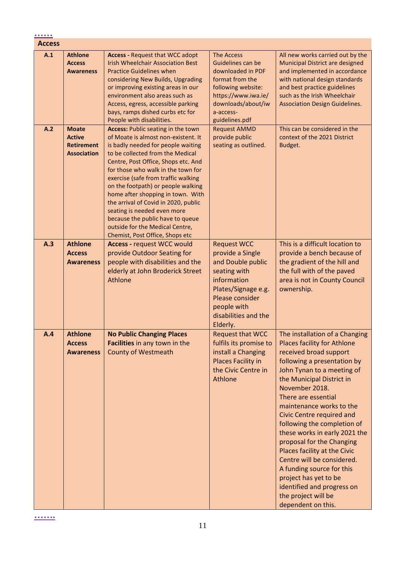| $\begin{array}{cccccccccccccc} \bullet & \bullet & \bullet & \bullet & \bullet & \bullet & \bullet \end{array}$ |                                                                          |                                                                                                                                                                                                                                                                                                                                                                                                                                                                                                                                            |                                                                                                                                                                                         |                                                                                                                                                                                                                                                                                                                                                                                                                                                                                                                                                                                        |
|-----------------------------------------------------------------------------------------------------------------|--------------------------------------------------------------------------|--------------------------------------------------------------------------------------------------------------------------------------------------------------------------------------------------------------------------------------------------------------------------------------------------------------------------------------------------------------------------------------------------------------------------------------------------------------------------------------------------------------------------------------------|-----------------------------------------------------------------------------------------------------------------------------------------------------------------------------------------|----------------------------------------------------------------------------------------------------------------------------------------------------------------------------------------------------------------------------------------------------------------------------------------------------------------------------------------------------------------------------------------------------------------------------------------------------------------------------------------------------------------------------------------------------------------------------------------|
| <b>Access</b>                                                                                                   |                                                                          |                                                                                                                                                                                                                                                                                                                                                                                                                                                                                                                                            |                                                                                                                                                                                         |                                                                                                                                                                                                                                                                                                                                                                                                                                                                                                                                                                                        |
| A.1                                                                                                             | <b>Athlone</b><br><b>Access</b><br><b>Awareness</b>                      | <b>Access - Request that WCC adopt</b><br><b>Irish Wheelchair Association Best</b><br><b>Practice Guidelines when</b><br>considering New Builds, Upgrading<br>or improving existing areas in our<br>environment also areas such as<br>Access, egress, accessible parking<br>bays, ramps dished curbs etc for<br>People with disabilities.                                                                                                                                                                                                  | <b>The Access</b><br>Guidelines can be<br>downloaded in PDF<br>format from the<br>following website:<br>https://www.iwa.ie/<br>downloads/about/iw<br>a-access-<br>guidelines.pdf        | All new works carried out by the<br>Municipal District are designed<br>and implemented in accordance<br>with national design standards<br>and best practice guidelines<br>such as the Irish Wheelchair<br><b>Association Design Guidelines.</b>                                                                                                                                                                                                                                                                                                                                        |
| A.2                                                                                                             | <b>Moate</b><br><b>Active</b><br><b>Retirement</b><br><b>Association</b> | <b>Access: Public seating in the town</b><br>of Moate is almost non-existent. It<br>is badly needed for people waiting<br>to be collected from the Medical<br>Centre, Post Office, Shops etc. And<br>for those who walk in the town for<br>exercise (safe from traffic walking<br>on the footpath) or people walking<br>home after shopping in town. With<br>the arrival of Covid in 2020, public<br>seating is needed even more<br>because the public have to queue<br>outside for the Medical Centre,<br>Chemist, Post Office, Shops etc | <b>Request AMMD</b><br>provide public<br>seating as outlined.                                                                                                                           | This can be considered in the<br>context of the 2021 District<br>Budget.                                                                                                                                                                                                                                                                                                                                                                                                                                                                                                               |
| A.3                                                                                                             | <b>Athlone</b><br><b>Access</b><br><b>Awareness</b>                      | <b>Access - request WCC would</b><br>provide Outdoor Seating for<br>people with disabilities and the<br>elderly at John Broderick Street<br>Athlone                                                                                                                                                                                                                                                                                                                                                                                        | <b>Request WCC</b><br>provide a Single<br>and Double public<br>seating with<br>information<br>Plates/Signage e.g.<br>Please consider<br>people with<br>disabilities and the<br>Elderly. | This is a difficult location to<br>provide a bench because of<br>the gradient of the hill and<br>the full with of the paved<br>area is not in County Council<br>ownership.                                                                                                                                                                                                                                                                                                                                                                                                             |
| A.4                                                                                                             | <b>Athlone</b><br><b>Access</b><br><b>Awareness</b>                      | <b>No Public Changing Places</b><br>Facilities in any town in the<br><b>County of Westmeath</b>                                                                                                                                                                                                                                                                                                                                                                                                                                            | <b>Request that WCC</b><br>fulfils its promise to<br>install a Changing<br><b>Places Facility in</b><br>the Civic Centre in<br>Athlone                                                  | The installation of a Changing<br><b>Places facility for Athlone</b><br>received broad support<br>following a presentation by<br>John Tynan to a meeting of<br>the Municipal District in<br>November 2018.<br>There are essential<br>maintenance works to the<br>Civic Centre required and<br>following the completion of<br>these works in early 2021 the<br>proposal for the Changing<br>Places facility at the Civic<br>Centre will be considered.<br>A funding source for this<br>project has yet to be<br>identified and progress on<br>the project will be<br>dependent on this. |